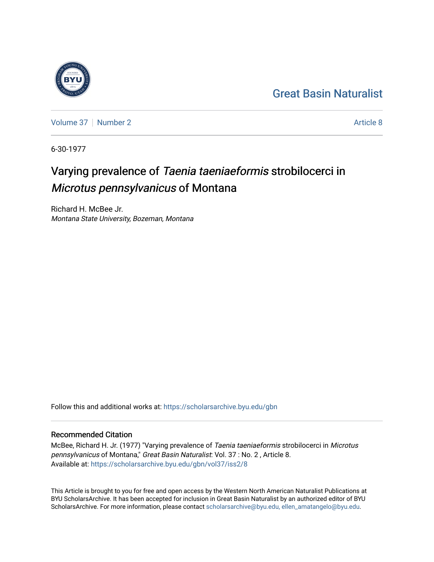## [Great Basin Naturalist](https://scholarsarchive.byu.edu/gbn)

[Volume 37](https://scholarsarchive.byu.edu/gbn/vol37) | [Number 2](https://scholarsarchive.byu.edu/gbn/vol37/iss2) [Article 8](https://scholarsarchive.byu.edu/gbn/vol37/iss2/8) Article 8

6-30-1977

# Varying prevalence of Taenia taeniaeformis strobilocerci in Microtus pennsylvanicus of Montana

Richard H. McBee Jr. Montana State University, Bozeman, Montana

Follow this and additional works at: [https://scholarsarchive.byu.edu/gbn](https://scholarsarchive.byu.edu/gbn?utm_source=scholarsarchive.byu.edu%2Fgbn%2Fvol37%2Fiss2%2F8&utm_medium=PDF&utm_campaign=PDFCoverPages) 

## Recommended Citation

McBee, Richard H. Jr. (1977) "Varying prevalence of Taenia taeniaeformis strobilocerci in Microtus pennsylvanicus of Montana," Great Basin Naturalist: Vol. 37 : No. 2 , Article 8. Available at: [https://scholarsarchive.byu.edu/gbn/vol37/iss2/8](https://scholarsarchive.byu.edu/gbn/vol37/iss2/8?utm_source=scholarsarchive.byu.edu%2Fgbn%2Fvol37%2Fiss2%2F8&utm_medium=PDF&utm_campaign=PDFCoverPages)

This Article is brought to you for free and open access by the Western North American Naturalist Publications at BYU ScholarsArchive. It has been accepted for inclusion in Great Basin Naturalist by an authorized editor of BYU ScholarsArchive. For more information, please contact [scholarsarchive@byu.edu, ellen\\_amatangelo@byu.edu.](mailto:scholarsarchive@byu.edu,%20ellen_amatangelo@byu.edu)